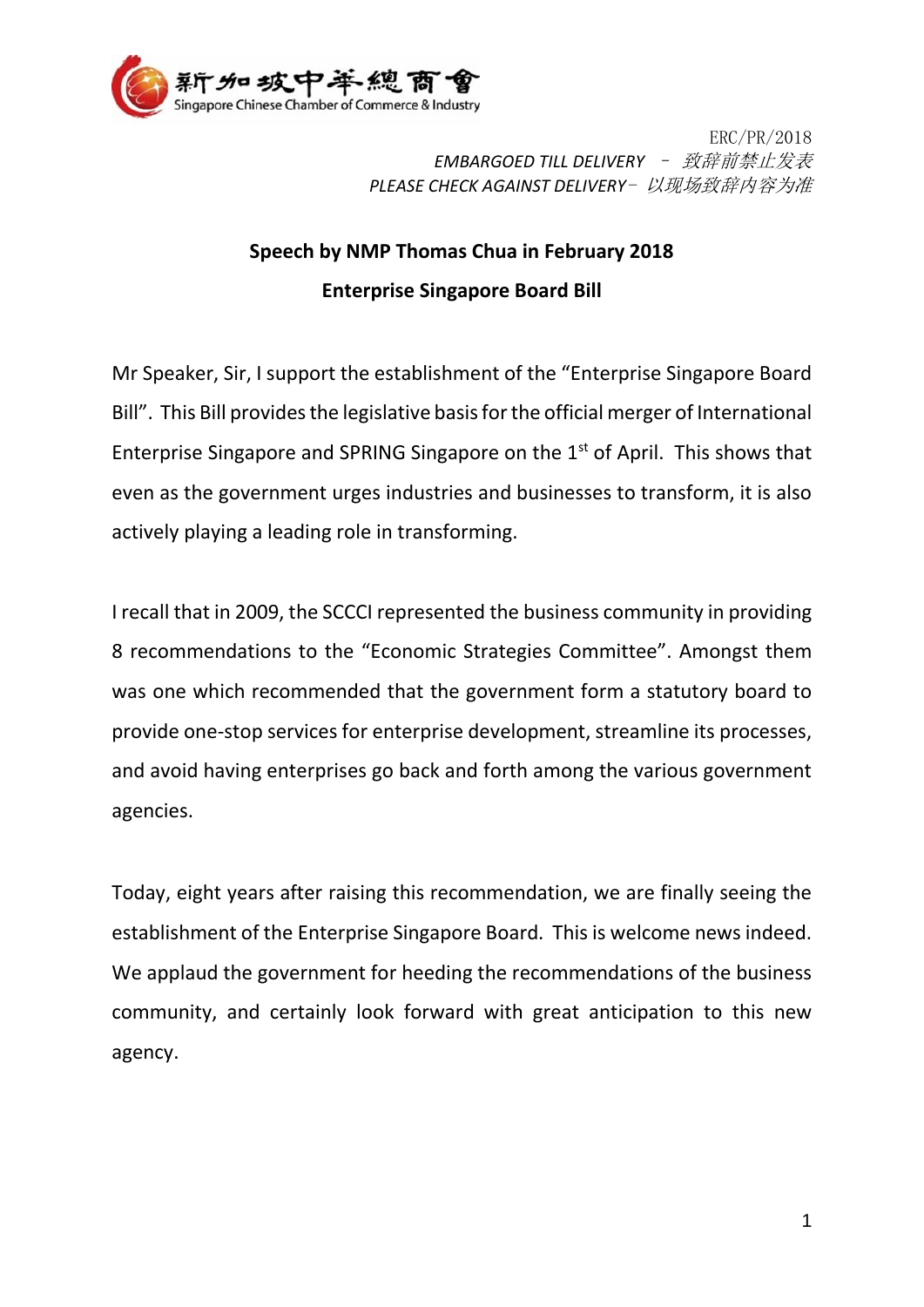

ERC/PR/2018 *EMBARGOED TILL DELIVERY* – 致辞前禁止发表 *PLEASE CHECK AGAINST DELIVERY*- 以现场致辞内容为准

## **Speech by NMP Thomas Chua in February 2018 Enterprise Singapore Board Bill**

Mr Speaker, Sir, I support the establishment of the "Enterprise Singapore Board Bill". This Bill provides the legislative basis for the official merger of International Enterprise Singapore and SPRING Singapore on the 1<sup>st</sup> of April. This shows that even as the government urges industries and businesses to transform, it is also actively playing a leading role in transforming.

I recall that in 2009, the SCCCI represented the business community in providing 8 recommendations to the "Economic Strategies Committee". Amongst them was one which recommended that the government form a statutory board to provide one-stop services for enterprise development, streamline its processes, and avoid having enterprises go back and forth among the various government agencies.

Today, eight years after raising this recommendation, we are finally seeing the establishment of the Enterprise Singapore Board. This is welcome news indeed. We applaud the government for heeding the recommendations of the business community, and certainly look forward with great anticipation to this new agency.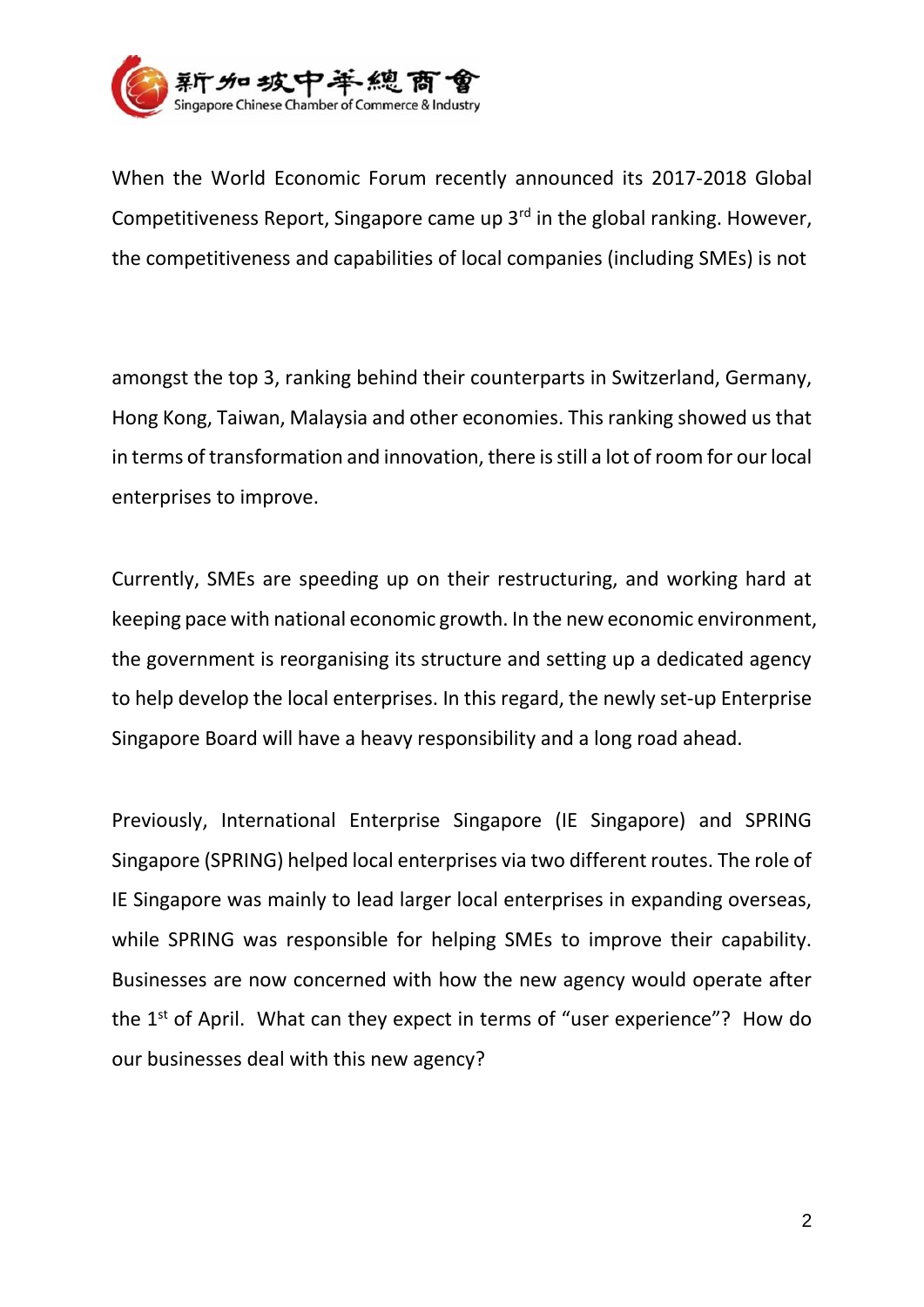

When the World Economic Forum recently announced its 2017-2018 Global Competitiveness Report, Singapore came up  $3<sup>rd</sup>$  in the global ranking. However, the competitiveness and capabilities of local companies (including SMEs) is not

amongst the top 3, ranking behind their counterparts in Switzerland, Germany, Hong Kong, Taiwan, Malaysia and other economies. This ranking showed us that in terms of transformation and innovation, there is still a lot of room for our local enterprises to improve.

Currently, SMEs are speeding up on their restructuring, and working hard at keeping pace with national economic growth. In the new economic environment, the government is reorganising its structure and setting up a dedicated agency to help develop the local enterprises. In this regard, the newly set-up Enterprise Singapore Board will have a heavy responsibility and a long road ahead.

Previously, International Enterprise Singapore (IE Singapore) and SPRING Singapore (SPRING) helped local enterprises via two different routes. The role of IE Singapore was mainly to lead larger local enterprises in expanding overseas, while SPRING was responsible for helping SMEs to improve their capability. Businesses are now concerned with how the new agency would operate after the 1<sup>st</sup> of April. What can they expect in terms of "user experience"? How do our businesses deal with this new agency?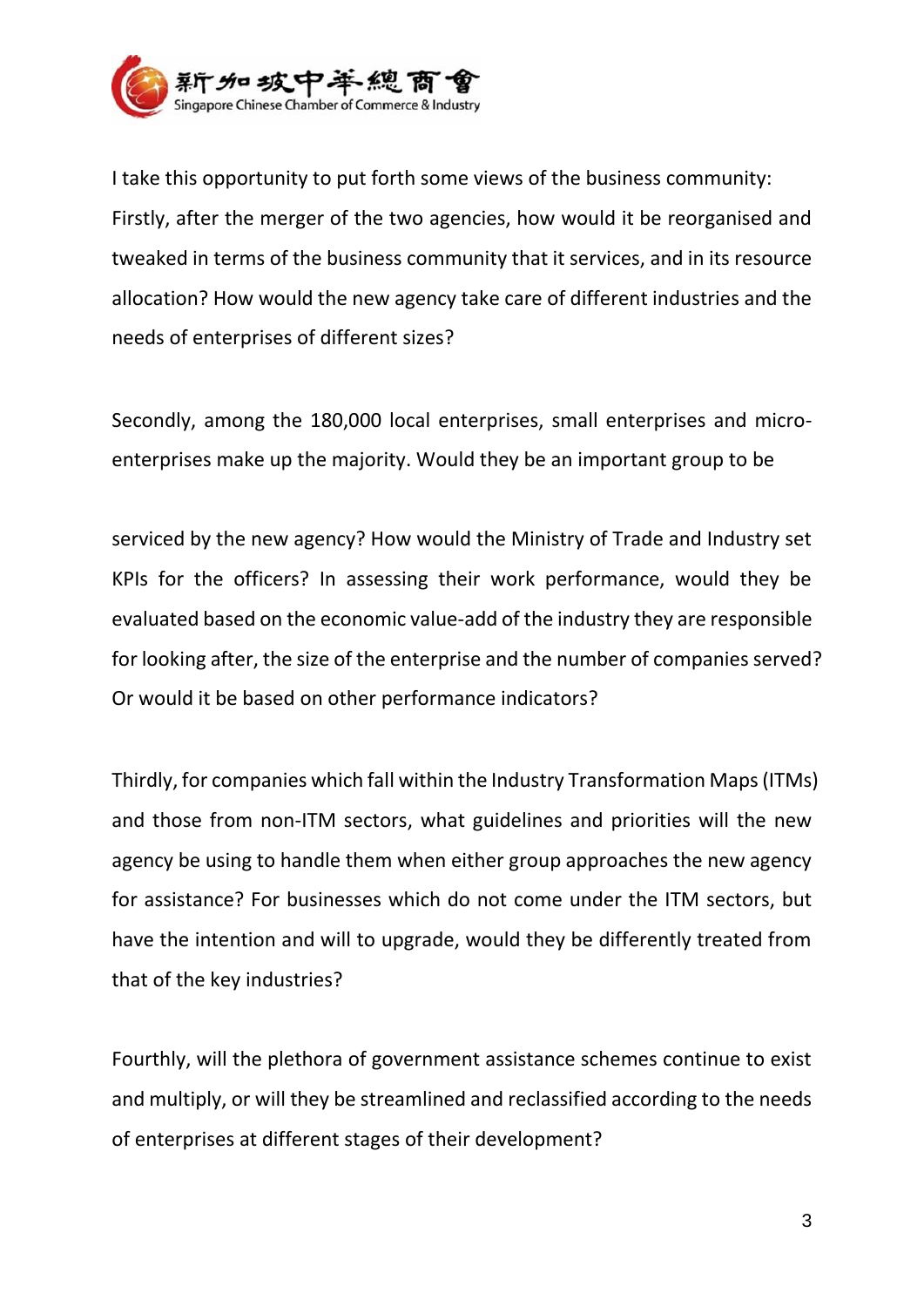

I take this opportunity to put forth some views of the business community: Firstly, after the merger of the two agencies, how would it be reorganised and tweaked in terms of the business community that it services, and in its resource allocation? How would the new agency take care of different industries and the needs of enterprises of different sizes?

Secondly, among the 180,000 local enterprises, small enterprises and microenterprises make up the majority. Would they be an important group to be

serviced by the new agency? How would the Ministry of Trade and Industry set KPIs for the officers? In assessing their work performance, would they be evaluated based on the economic value-add of the industry they are responsible for looking after, the size of the enterprise and the number of companies served? Or would it be based on other performance indicators?

Thirdly, for companies which fall within the Industry Transformation Maps (ITMs) and those from non-ITM sectors, what guidelines and priorities will the new agency be using to handle them when either group approaches the new agency for assistance? For businesses which do not come under the ITM sectors, but have the intention and will to upgrade, would they be differently treated from that of the key industries?

Fourthly, will the plethora of government assistance schemes continue to exist and multiply, or will they be streamlined and reclassified according to the needs of enterprises at different stages of their development?